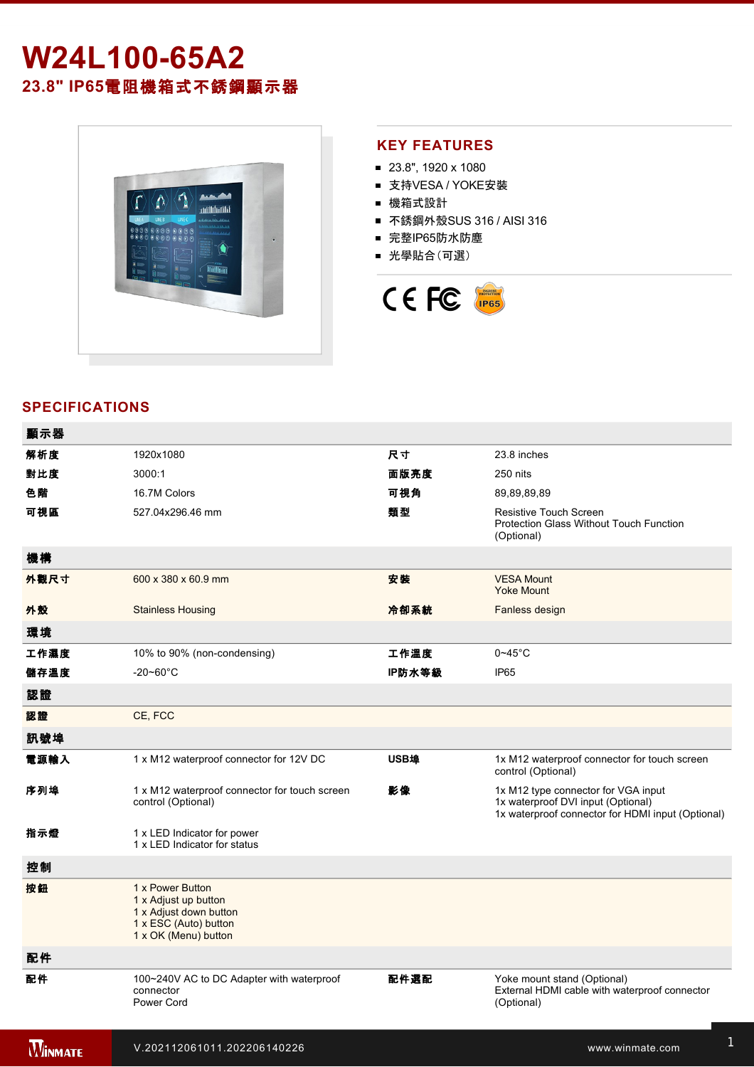# W24L100-65A2 **23.8" IP65**電阻機箱式不銹鋼顯示器



#### **KEY FEATURES**

- 23.8", 1920 x 1080
- 支持VESA / YOKE安裝
- 機箱式設計
- 不銹鋼外殼SUS 316 / AISI 316
- 完整IP65防水防塵
- 光學貼合(可選)



## **SPECIFICATIONS**

| 顯示器            |                                                                                                                     |        |                                                                                                                                |
|----------------|---------------------------------------------------------------------------------------------------------------------|--------|--------------------------------------------------------------------------------------------------------------------------------|
| 解析度            | 1920x1080                                                                                                           | 尺寸     | 23.8 inches                                                                                                                    |
| 對比度            | 3000:1                                                                                                              | 面版亮度   | 250 nits                                                                                                                       |
| 色階             | 16.7M Colors                                                                                                        | 可視角    | 89,89,89,89                                                                                                                    |
| 可視區            | 527.04x296.46 mm                                                                                                    | 類型     | <b>Resistive Touch Screen</b><br>Protection Glass Without Touch Function<br>(Optional)                                         |
| 機構             |                                                                                                                     |        |                                                                                                                                |
| 外觀尺寸           | 600 x 380 x 60.9 mm                                                                                                 | 安装     | <b>VESA Mount</b><br><b>Yoke Mount</b>                                                                                         |
| 外殼             | <b>Stainless Housing</b>                                                                                            | 冷卻系統   | Fanless design                                                                                                                 |
| 環境             |                                                                                                                     |        |                                                                                                                                |
| 工作濕度           | 10% to 90% (non-condensing)                                                                                         | 工作溫度   | $0 - 45$ °C                                                                                                                    |
| 儲存溫度           | $-20 - 60^{\circ}$ C                                                                                                | IP防水等級 | IP <sub>65</sub>                                                                                                               |
| 認證             |                                                                                                                     |        |                                                                                                                                |
| 認證             | CE, FCC                                                                                                             |        |                                                                                                                                |
| 訊號埠            |                                                                                                                     |        |                                                                                                                                |
| 電源輸入           | 1 x M12 waterproof connector for 12V DC                                                                             | USB埠   | 1x M12 waterproof connector for touch screen<br>control (Optional)                                                             |
| 序列埠            | 1 x M12 waterproof connector for touch screen<br>control (Optional)                                                 | 影像     | 1x M12 type connector for VGA input<br>1x waterproof DVI input (Optional)<br>1x waterproof connector for HDMI input (Optional) |
| 指示燈            | 1 x LED Indicator for power<br>1 x LED Indicator for status                                                         |        |                                                                                                                                |
| 控制             |                                                                                                                     |        |                                                                                                                                |
| 按鈕             | 1 x Power Button<br>1 x Adjust up button<br>1 x Adjust down button<br>1 x ESC (Auto) button<br>1 x OK (Menu) button |        |                                                                                                                                |
| 配件             |                                                                                                                     |        |                                                                                                                                |
| 配件             | 100~240V AC to DC Adapter with waterproof<br>connector<br>Power Cord                                                | 配件選配   | Yoke mount stand (Optional)<br>External HDMI cable with waterproof connector<br>(Optional)                                     |
| <b>WINMATE</b> | V.202112061011.202206140226                                                                                         |        | www.winmate.com                                                                                                                |

 $\mathbb{R}^3$ 232 cable with waterproof connector with waterproof connector  $\mathbb{R}^3$